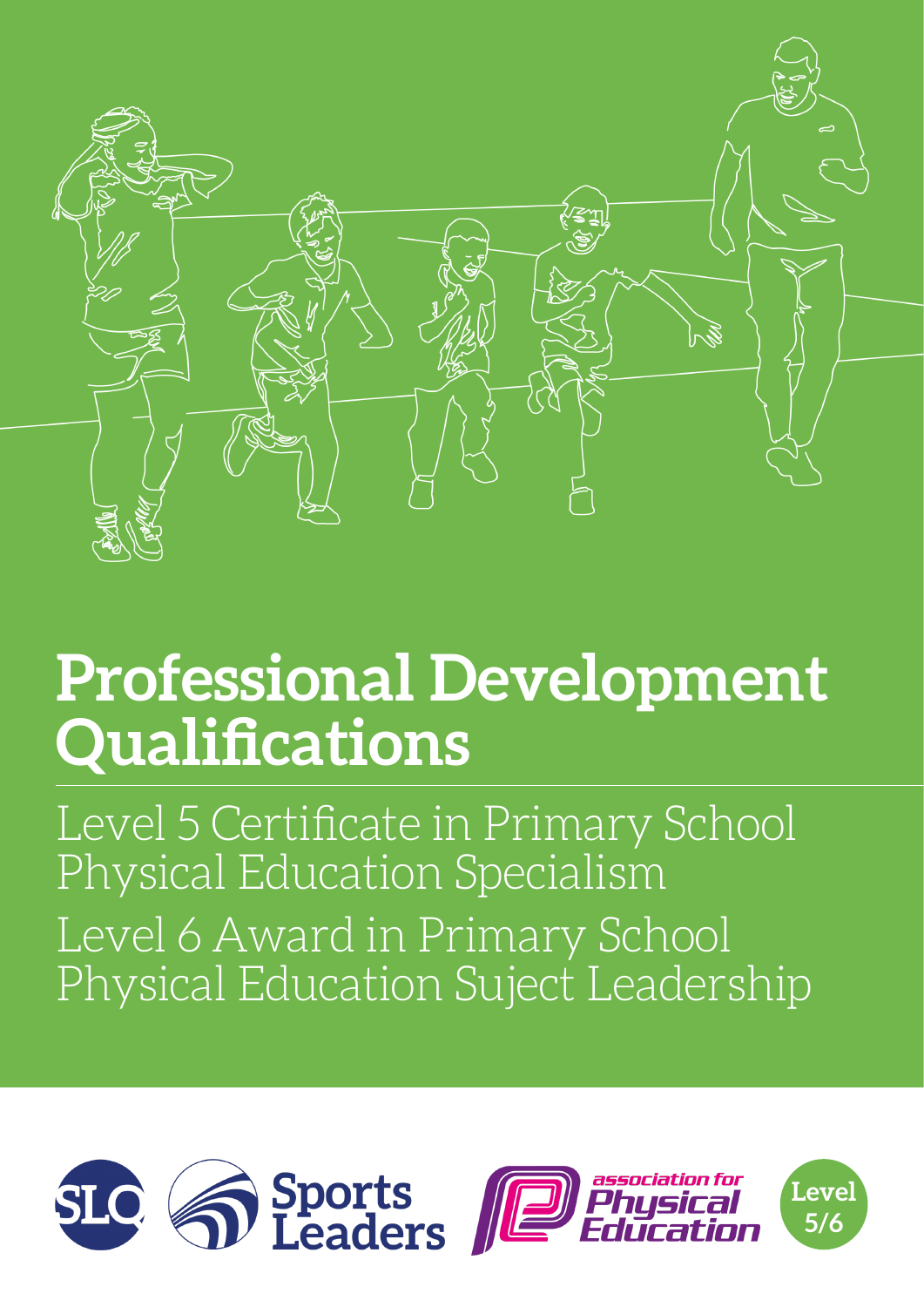

## **Professional Development Qualifications**

Level 5 Certificate in Primary School Physical Education Specialism Level 6 Award in Primary School Physical Education Suject Leadership





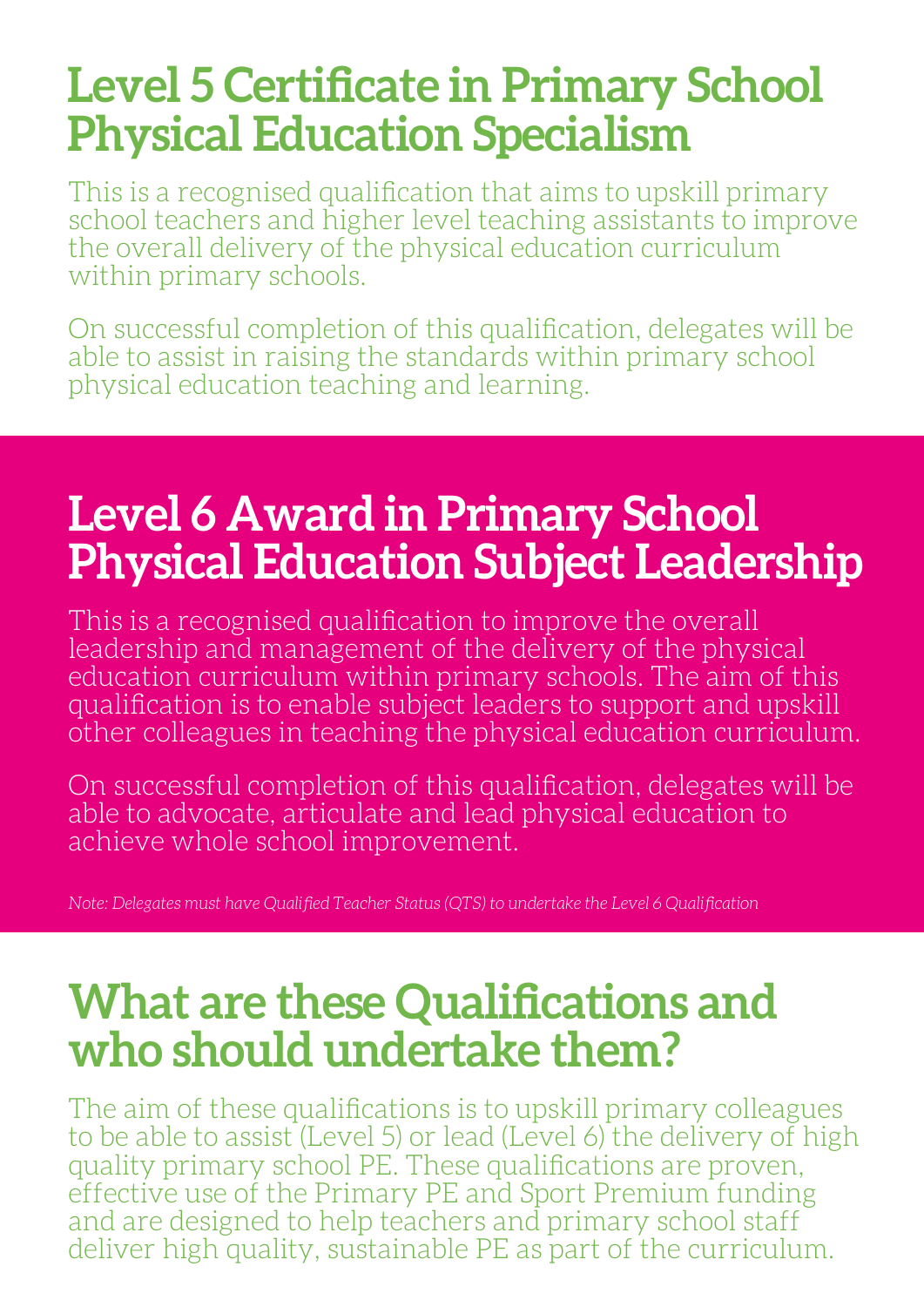## **Level 5 Certificate in Primary School Physical Education Specialism**

This is a recognised qualification that aims to upskill primary school teachers and higher level teaching assistants to improve the overall delivery of the physical education curriculum within primary schools.

On successful completion of this qualification, delegates will be able to assist in raising the standards within primary school physical education teaching and learning.

## **Level 6 Award in Primary School Physical Education Subject Leadership**

This is a recognised qualification to improve the overall leadership and management of the delivery of the physical education curriculum within primary schools. The aim of this qualification is to enable subject leaders to support and upskill other colleagues in teaching the physical education curriculum.

On successful completion of this qualification, delegates will be able to advocate, articulate and lead physical education to achieve whole school improvement.

*Note: Delegates must have Qualified Teacher Status (QTS) to undertake the Level 6 Qualification*

## **What are these Qualifications and who should undertake them?**

The aim of these qualifications is to upskill primary colleagues to be able to assist (Level 5) or lead (Level 6) the delivery of high quality primary school PE. These qualifications are proven, effective use of the Primary PE and Sport Premium funding and are designed to help teachers and primary school staff deliver high quality, sustainable PE as part of the curriculum.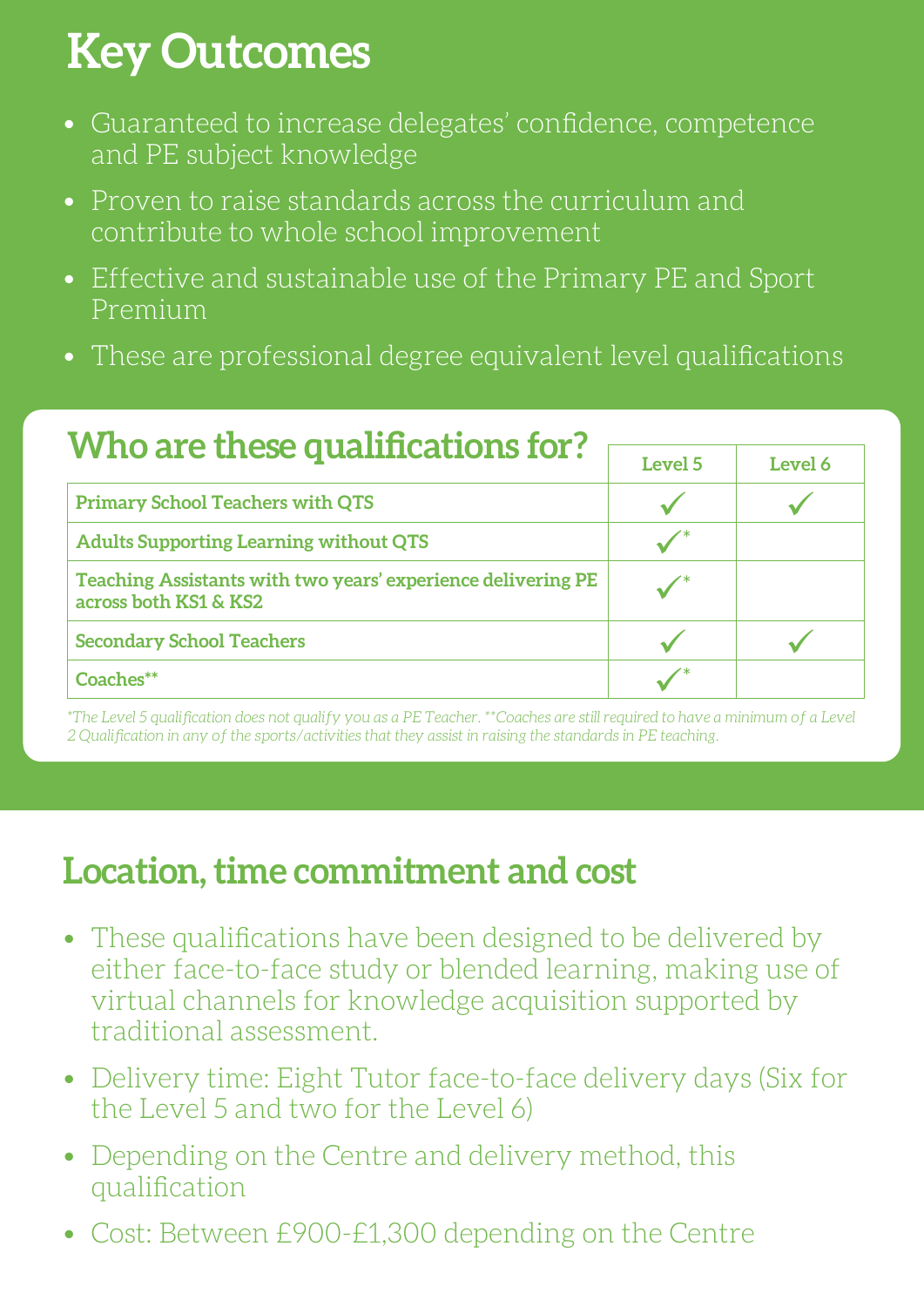## **Key Outcomes**

- Guaranteed to increase delegates' confidence, competence and PE subject knowledge
- Proven to raise standards across the curriculum and contribute to whole school improvement
- Effective and sustainable use of the Primary PE and Sport Premium
- These are professional degree equivalent level qualifications

| Who are these qualifications for?                                                     |         |         |
|---------------------------------------------------------------------------------------|---------|---------|
|                                                                                       | Level 5 | Level 6 |
| <b>Primary School Teachers with QTS</b>                                               |         |         |
| <b>Adults Supporting Learning without QTS</b>                                         |         |         |
| Teaching Assistants with two years' experience delivering PE<br>across both KS1 & KS2 |         |         |
| <b>Secondary School Teachers</b>                                                      |         |         |
| Coaches**                                                                             |         |         |

*\*The Level 5 qualification does not qualify you as a PE Teacher. \*\*Coaches are still required to have a minimum of a Level 2 Qualification in any of the sports/activities that they assist in raising the standards in PE teaching.*

### **Location, time commitment and cost**

- These qualifications have been designed to be delivered by either face-to-face study or blended learning, making use of virtual channels for knowledge acquisition supported by traditional assessment.
- Delivery time: Eight Tutor face-to-face delivery days (Six for the Level 5 and two for the Level 6)
- Depending on the Centre and delivery method, this qualification
- Cost: Between £900-£1,300 depending on the Centre